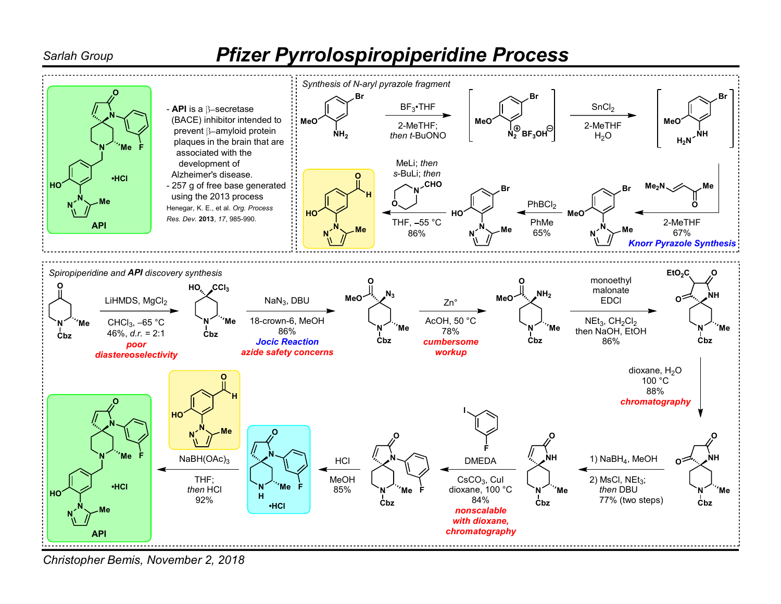## Sarlah Group **Pfizer Pyrrolospiropiperidine Process**



Christopher Bemis, November 2, 2018